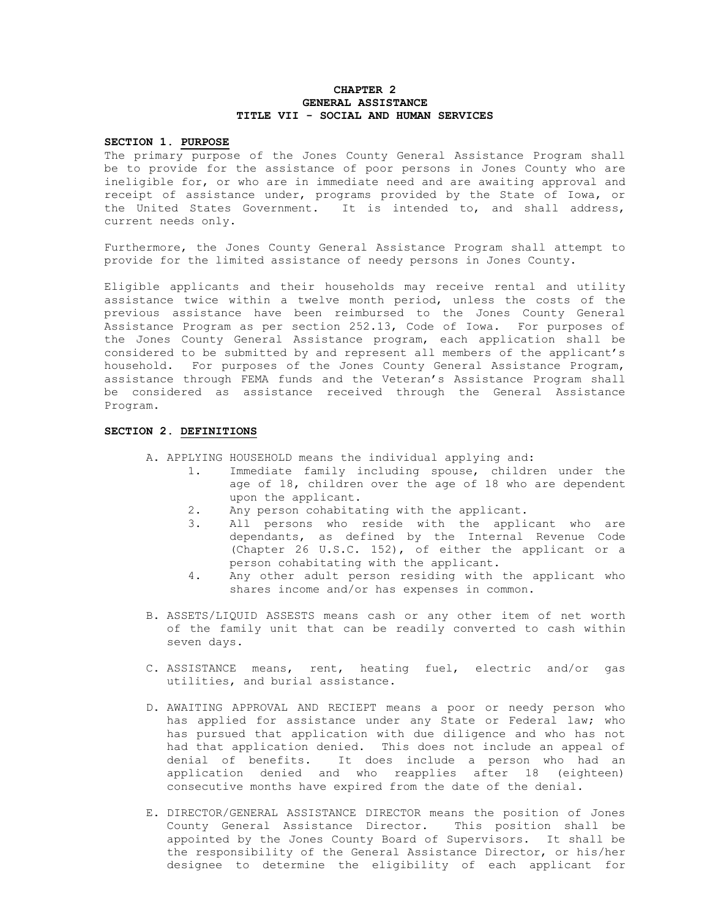## CHAPTER 2 GENERAL ASSISTANCE TITLE VII - SOCIAL AND HUMAN SERVICES

## SECTION 1. PURPOSE

The primary purpose of the Jones County General Assistance Program shall be to provide for the assistance of poor persons in Jones County who are ineligible for, or who are in immediate need and are awaiting approval and receipt of assistance under, programs provided by the State of Iowa, or the United States Government. It is intended to, and shall address, current needs only.

Furthermore, the Jones County General Assistance Program shall attempt to provide for the limited assistance of needy persons in Jones County.

Eligible applicants and their households may receive rental and utility assistance twice within a twelve month period, unless the costs of the previous assistance have been reimbursed to the Jones County General Assistance Program as per section 252.13, Code of Iowa. For purposes of the Jones County General Assistance program, each application shall be considered to be submitted by and represent all members of the applicant's household. For purposes of the Jones County General Assistance Program, assistance through FEMA funds and the Veteran's Assistance Program shall be considered as assistance received through the General Assistance Program.

### SECTION 2. DEFINITIONS

A. APPLYING HOUSEHOLD means the individual applying and:

- 1. Immediate family including spouse, children under the age of 18, children over the age of 18 who are dependent upon the applicant.
- 2. Any person cohabitating with the applicant.
- 3. All persons who reside with the applicant who are dependants, as defined by the Internal Revenue Code (Chapter 26 U.S.C. 152), of either the applicant or a person cohabitating with the applicant.
- 4. Any other adult person residing with the applicant who shares income and/or has expenses in common.
- B. ASSETS/LIQUID ASSESTS means cash or any other item of net worth of the family unit that can be readily converted to cash within seven days.
- C. ASSISTANCE means, rent, heating fuel, electric and/or gas utilities, and burial assistance.
- D. AWAITING APPROVAL AND RECIEPT means a poor or needy person who has applied for assistance under any State or Federal law; who has pursued that application with due diligence and who has not had that application denied. This does not include an appeal of denial of benefits. It does include a person who had an application denied and who reapplies after 18 (eighteen) consecutive months have expired from the date of the denial.
- E. DIRECTOR/GENERAL ASSISTANCE DIRECTOR means the position of Jones County General Assistance Director. This position shall be appointed by the Jones County Board of Supervisors. It shall be the responsibility of the General Assistance Director, or his/her designee to determine the eligibility of each applicant for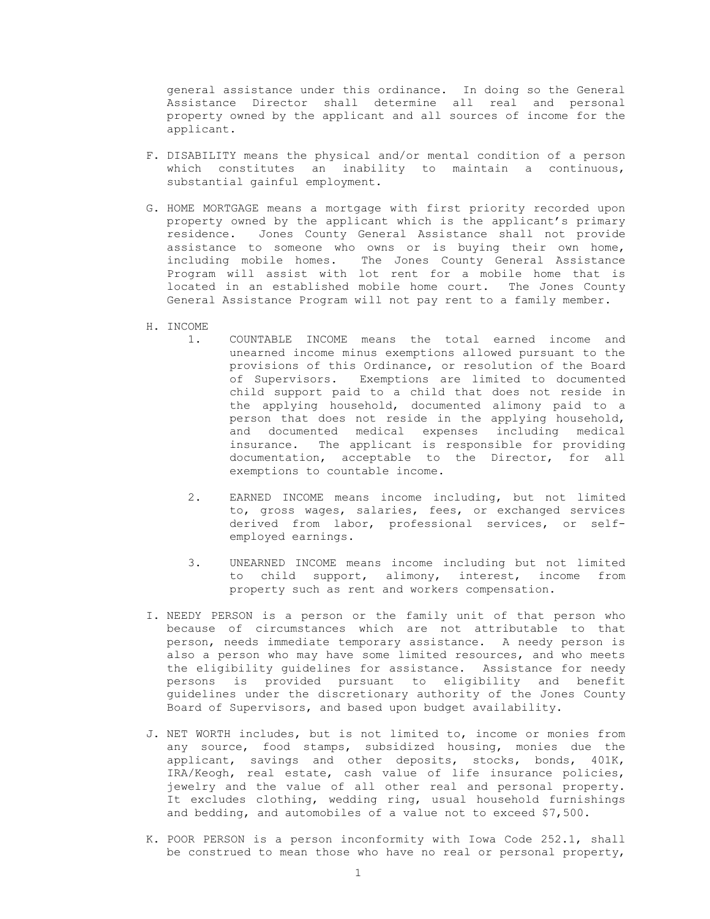general assistance under this ordinance. In doing so the General Assistance Director shall determine all real and personal property owned by the applicant and all sources of income for the applicant.

- F. DISABILITY means the physical and/or mental condition of a person which constitutes an inability to maintain a continuous, substantial gainful employment.
- G. HOME MORTGAGE means a mortgage with first priority recorded upon property owned by the applicant which is the applicant's primary residence. Jones County General Assistance shall not provide assistance to someone who owns or is buying their own home, including mobile homes. The Jones County General Assistance Program will assist with lot rent for a mobile home that is located in an established mobile home court. The Jones County General Assistance Program will not pay rent to a family member.
- H. INCOME
	- 1. COUNTABLE INCOME means the total earned income and unearned income minus exemptions allowed pursuant to the provisions of this Ordinance, or resolution of the Board of Supervisors. Exemptions are limited to documented child support paid to a child that does not reside in the applying household, documented alimony paid to a person that does not reside in the applying household, and documented medical expenses including medical insurance. The applicant is responsible for providing documentation, acceptable to the Director, for all exemptions to countable income.
	- 2. EARNED INCOME means income including, but not limited to, gross wages, salaries, fees, or exchanged services derived from labor, professional services, or selfemployed earnings.
	- 3. UNEARNED INCOME means income including but not limited to child support, alimony, interest, income from property such as rent and workers compensation.
- I. NEEDY PERSON is a person or the family unit of that person who because of circumstances which are not attributable to that person, needs immediate temporary assistance. A needy person is also a person who may have some limited resources, and who meets the eligibility guidelines for assistance. Assistance for needy persons is provided pursuant to eligibility and benefit guidelines under the discretionary authority of the Jones County Board of Supervisors, and based upon budget availability.
- J. NET WORTH includes, but is not limited to, income or monies from any source, food stamps, subsidized housing, monies due the applicant, savings and other deposits, stocks, bonds, 401K, IRA/Keogh, real estate, cash value of life insurance policies, jewelry and the value of all other real and personal property. It excludes clothing, wedding ring, usual household furnishings and bedding, and automobiles of a value not to exceed \$7,500.
- K. POOR PERSON is a person inconformity with Iowa Code 252.1, shall be construed to mean those who have no real or personal property,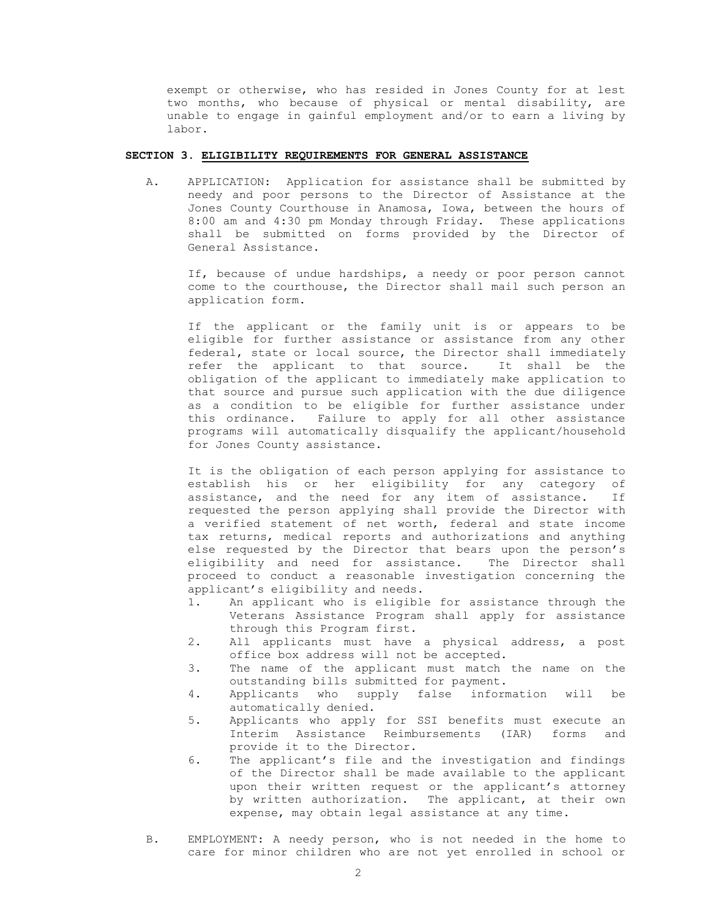exempt or otherwise, who has resided in Jones County for at lest two months, who because of physical or mental disability, are unable to engage in gainful employment and/or to earn a living by labor.

### SECTION 3. ELIGIBILITY REQUIREMENTS FOR GENERAL ASSISTANCE

A. APPLICATION: Application for assistance shall be submitted by needy and poor persons to the Director of Assistance at the Jones County Courthouse in Anamosa, Iowa, between the hours of 8:00 am and 4:30 pm Monday through Friday. These applications shall be submitted on forms provided by the Director of General Assistance.

If, because of undue hardships, a needy or poor person cannot come to the courthouse, the Director shall mail such person an application form.

If the applicant or the family unit is or appears to be eligible for further assistance or assistance from any other federal, state or local source, the Director shall immediately refer the applicant to that source. It shall be the obligation of the applicant to immediately make application to that source and pursue such application with the due diligence as a condition to be eligible for further assistance under this ordinance. Failure to apply for all other assistance programs will automatically disqualify the applicant/household for Jones County assistance.

It is the obligation of each person applying for assistance to establish his or her eligibility for any category of assistance, and the need for any item of assistance. If requested the person applying shall provide the Director with a verified statement of net worth, federal and state income tax returns, medical reports and authorizations and anything else requested by the Director that bears upon the person's<br>eligibility and need for assistance. The Director shall eligibility and need for assistance. proceed to conduct a reasonable investigation concerning the applicant's eligibility and needs.

- 1. An applicant who is eligible for assistance through the Veterans Assistance Program shall apply for assistance through this Program first.
- 2. All applicants must have a physical address, a post office box address will not be accepted.
- 3. The name of the applicant must match the name on the outstanding bills submitted for payment.
- 4. Applicants who supply false information will be automatically denied.
- 5. Applicants who apply for SSI benefits must execute an Interim Assistance Reimbursements (IAR) forms and provide it to the Director.
- 6. The applicant's file and the investigation and findings of the Director shall be made available to the applicant upon their written request or the applicant's attorney by written authorization. The applicant, at their own expense, may obtain legal assistance at any time.
- B. EMPLOYMENT: A needy person, who is not needed in the home to care for minor children who are not yet enrolled in school or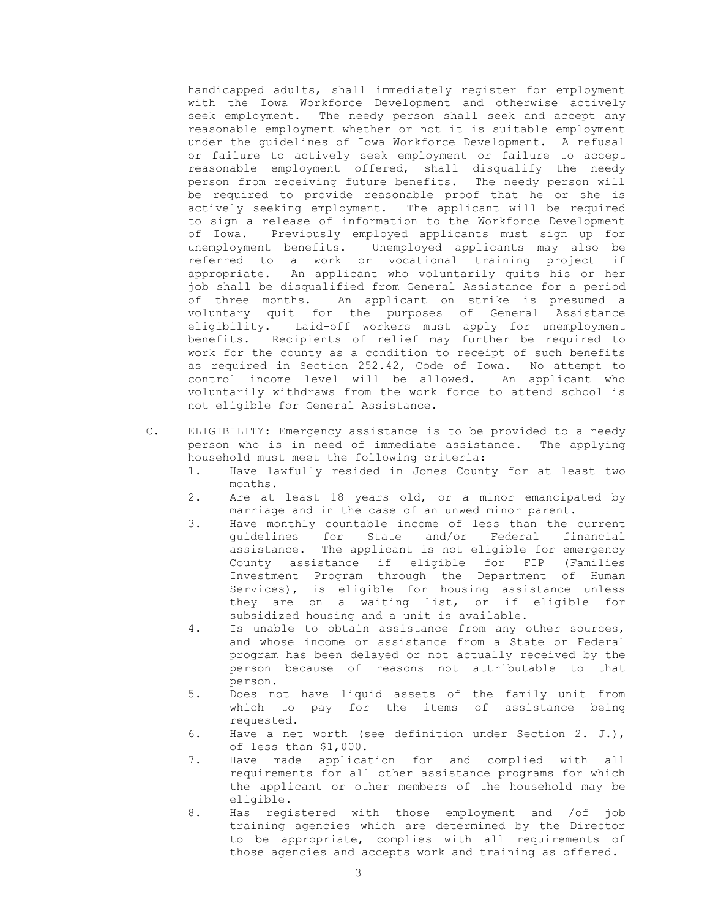handicapped adults, shall immediately register for employment with the Iowa Workforce Development and otherwise actively seek employment. The needy person shall seek and accept any reasonable employment whether or not it is suitable employment under the guidelines of Iowa Workforce Development. A refusal or failure to actively seek employment or failure to accept reasonable employment offered, shall disqualify the needy person from receiving future benefits. The needy person will be required to provide reasonable proof that he or she is actively seeking employment. The applicant will be required to sign a release of information to the Workforce Development of Iowa. Previously employed applicants must sign up for unemployment benefits. Unemployed applicants may also be referred to a work or vocational training project if appropriate. An applicant who voluntarily quits his or her job shall be disqualified from General Assistance for a period of three months. An applicant on strike is presumed a voluntary quit for the purposes of General Assistance eligibility. Laid-off workers must apply for unemployment benefits. Recipients of relief may further be required to work for the county as a condition to receipt of such benefits as required in Section 252.42, Code of Iowa. No attempt to control income level will be allowed. An applicant who voluntarily withdraws from the work force to attend school is not eligible for General Assistance.

- C. ELIGIBILITY: Emergency assistance is to be provided to a needy person who is in need of immediate assistance. The applying household must meet the following criteria:
	- 1. Have lawfully resided in Jones County for at least two months.
	- 2. Are at least 18 years old, or a minor emancipated by marriage and in the case of an unwed minor parent.
	- 3. Have monthly countable income of less than the current guidelines for State and/or Federal financial assistance. The applicant is not eligible for emergency County assistance if eligible for FIP (Families Investment Program through the Department of Human Services), is eligible for housing assistance unless they are on a waiting list, or if eligible for subsidized housing and a unit is available.
	- 4. Is unable to obtain assistance from any other sources, and whose income or assistance from a State or Federal program has been delayed or not actually received by the person because of reasons not attributable to that person.
	- 5. Does not have liquid assets of the family unit from which to pay for the items of assistance being requested.
	- 6. Have a net worth (see definition under Section 2. J.), of less than \$1,000.
	- 7. Have made application for and complied with all requirements for all other assistance programs for which the applicant or other members of the household may be eligible.
	- 8. Has registered with those employment and /of job training agencies which are determined by the Director to be appropriate, complies with all requirements of those agencies and accepts work and training as offered.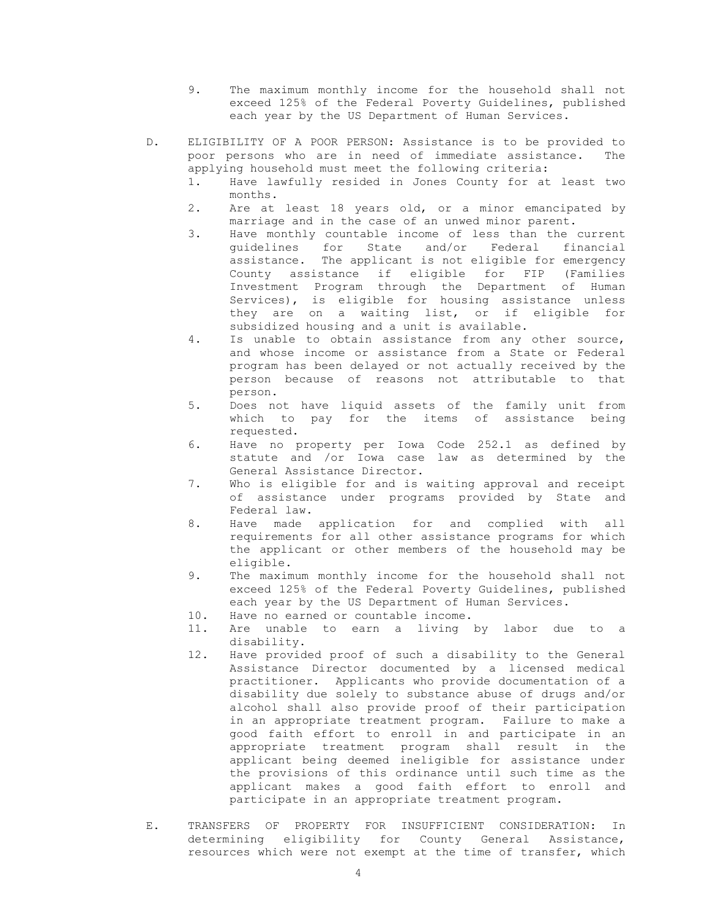- 9. The maximum monthly income for the household shall not exceed 125% of the Federal Poverty Guidelines, published each year by the US Department of Human Services.
- D. ELIGIBILITY OF A POOR PERSON: Assistance is to be provided to poor persons who are in need of immediate assistance. The applying household must meet the following criteria:
	- 1. Have lawfully resided in Jones County for at least two months.
	- 2. Are at least 18 years old, or a minor emancipated by marriage and in the case of an unwed minor parent.
	- 3. Have monthly countable income of less than the current guidelines for State and/or Federal financial assistance. The applicant is not eligible for emergency County assistance if eligible for FIP (Families Investment Program through the Department of Human Services), is eligible for housing assistance unless they are on a waiting list, or if eligible for subsidized housing and a unit is available.
	- 4. Is unable to obtain assistance from any other source, and whose income or assistance from a State or Federal program has been delayed or not actually received by the person because of reasons not attributable to that person.
	- 5. Does not have liquid assets of the family unit from which to pay for the items of assistance being requested.
	- 6. Have no property per Iowa Code 252.1 as defined by statute and /or Iowa case law as determined by the General Assistance Director.
	- 7. Who is eligible for and is waiting approval and receipt of assistance under programs provided by State and Federal law.
	- 8. Have made application for and complied with all requirements for all other assistance programs for which the applicant or other members of the household may be eligible.
	- 9. The maximum monthly income for the household shall not exceed 125% of the Federal Poverty Guidelines, published each year by the US Department of Human Services.
	- 10. Have no earned or countable income.
	- 11. Are unable to earn a living by labor due to a disability.
	- 12. Have provided proof of such a disability to the General Assistance Director documented by a licensed medical practitioner. Applicants who provide documentation of a disability due solely to substance abuse of drugs and/or alcohol shall also provide proof of their participation in an appropriate treatment program. Failure to make a good faith effort to enroll in and participate in an appropriate treatment program shall result in the applicant being deemed ineligible for assistance under the provisions of this ordinance until such time as the applicant makes a good faith effort to enroll and participate in an appropriate treatment program.
- E. TRANSFERS OF PROPERTY FOR INSUFFICIENT CONSIDERATION: In determining eligibility for County General Assistance, resources which were not exempt at the time of transfer, which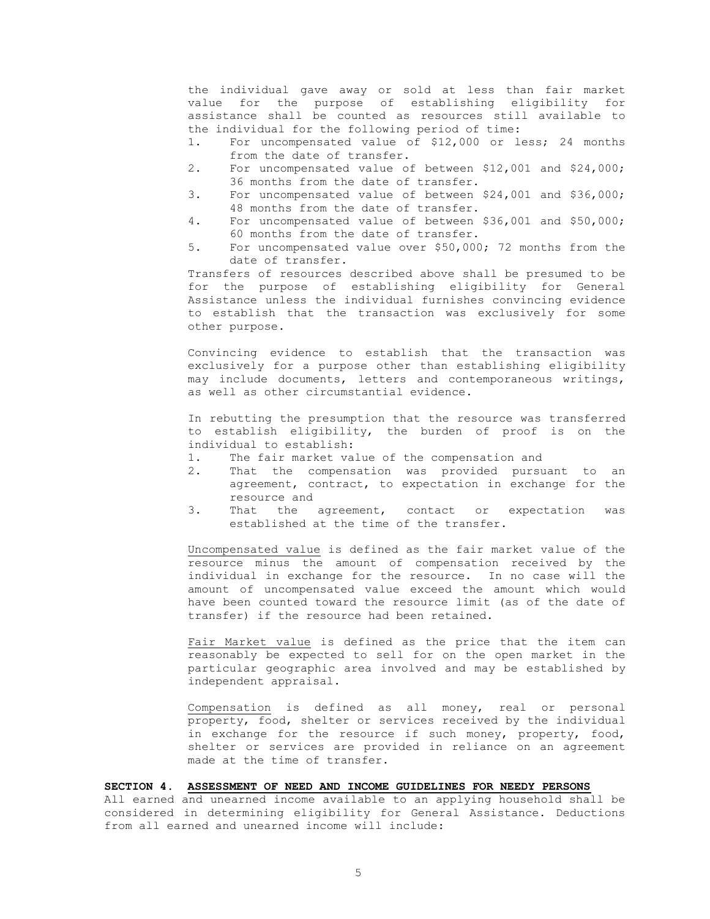the individual gave away or sold at less than fair market value for the purpose of establishing eligibility for assistance shall be counted as resources still available to the individual for the following period of time:

- 1. For uncompensated value of \$12,000 or less; 24 months from the date of transfer.
- 2. For uncompensated value of between \$12,001 and \$24,000; 36 months from the date of transfer.
- 3. For uncompensated value of between \$24,001 and \$36,000; 48 months from the date of transfer.
- 4. For uncompensated value of between \$36,001 and \$50,000; 60 months from the date of transfer.
- 5. For uncompensated value over \$50,000; 72 months from the date of transfer.

Transfers of resources described above shall be presumed to be for the purpose of establishing eligibility for General Assistance unless the individual furnishes convincing evidence to establish that the transaction was exclusively for some other purpose.

Convincing evidence to establish that the transaction was exclusively for a purpose other than establishing eligibility may include documents, letters and contemporaneous writings, as well as other circumstantial evidence.

In rebutting the presumption that the resource was transferred to establish eligibility, the burden of proof is on the individual to establish:

- 1. The fair market value of the compensation and
- 2. That the compensation was provided pursuant to an agreement, contract, to expectation in exchange for the resource and
- 3. That the agreement, contact or expectation was established at the time of the transfer.

Uncompensated value is defined as the fair market value of the resource minus the amount of compensation received by the individual in exchange for the resource. In no case will the amount of uncompensated value exceed the amount which would have been counted toward the resource limit (as of the date of transfer) if the resource had been retained.

Fair Market value is defined as the price that the item can reasonably be expected to sell for on the open market in the particular geographic area involved and may be established by independent appraisal.

Compensation is defined as all money, real or personal property, food, shelter or services received by the individual in exchange for the resource if such money, property, food, shelter or services are provided in reliance on an agreement made at the time of transfer.

SECTION 4. ASSESSMENT OF NEED AND INCOME GUIDELINES FOR NEEDY PERSONS

All earned and unearned income available to an applying household shall be considered in determining eligibility for General Assistance. Deductions from all earned and unearned income will include: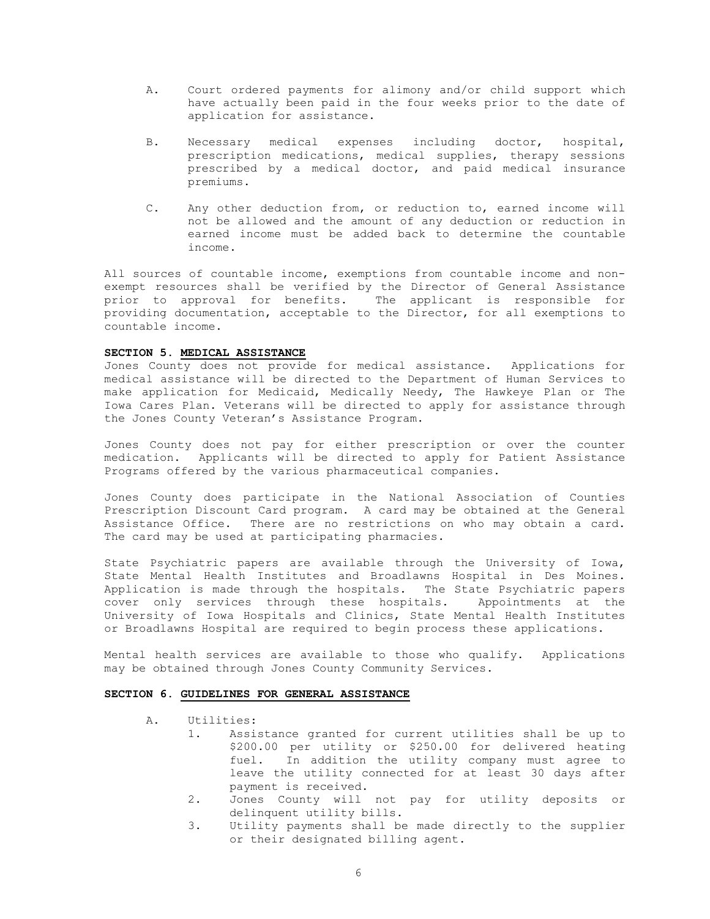- A. Court ordered payments for alimony and/or child support which have actually been paid in the four weeks prior to the date of application for assistance.
- B. Necessary medical expenses including doctor, hospital, prescription medications, medical supplies, therapy sessions prescribed by a medical doctor, and paid medical insurance premiums.
- C. Any other deduction from, or reduction to, earned income will not be allowed and the amount of any deduction or reduction in earned income must be added back to determine the countable income.

All sources of countable income, exemptions from countable income and nonexempt resources shall be verified by the Director of General Assistance prior to approval for benefits. The applicant is responsible for providing documentation, acceptable to the Director, for all exemptions to countable income.

### SECTION 5. MEDICAL ASSISTANCE

Jones County does not provide for medical assistance. Applications for medical assistance will be directed to the Department of Human Services to make application for Medicaid, Medically Needy, The Hawkeye Plan or The Iowa Cares Plan. Veterans will be directed to apply for assistance through the Jones County Veteran's Assistance Program.

Jones County does not pay for either prescription or over the counter medication. Applicants will be directed to apply for Patient Assistance Programs offered by the various pharmaceutical companies.

Jones County does participate in the National Association of Counties Prescription Discount Card program. A card may be obtained at the General Assistance Office. There are no restrictions on who may obtain a card. The card may be used at participating pharmacies.

State Psychiatric papers are available through the University of Iowa, State Mental Health Institutes and Broadlawns Hospital in Des Moines. Application is made through the hospitals. The State Psychiatric papers cover only services through these hospitals. Appointments at the University of Iowa Hospitals and Clinics, State Mental Health Institutes or Broadlawns Hospital are required to begin process these applications.

Mental health services are available to those who qualify. Applications may be obtained through Jones County Community Services.

## SECTION 6. GUIDELINES FOR GENERAL ASSISTANCE

- A. Utilities:
	- 1. Assistance granted for current utilities shall be up to \$200.00 per utility or \$250.00 for delivered heating fuel. In addition the utility company must agree to leave the utility connected for at least 30 days after payment is received.
	- 2. Jones County will not pay for utility deposits or delinquent utility bills.
	- 3. Utility payments shall be made directly to the supplier or their designated billing agent.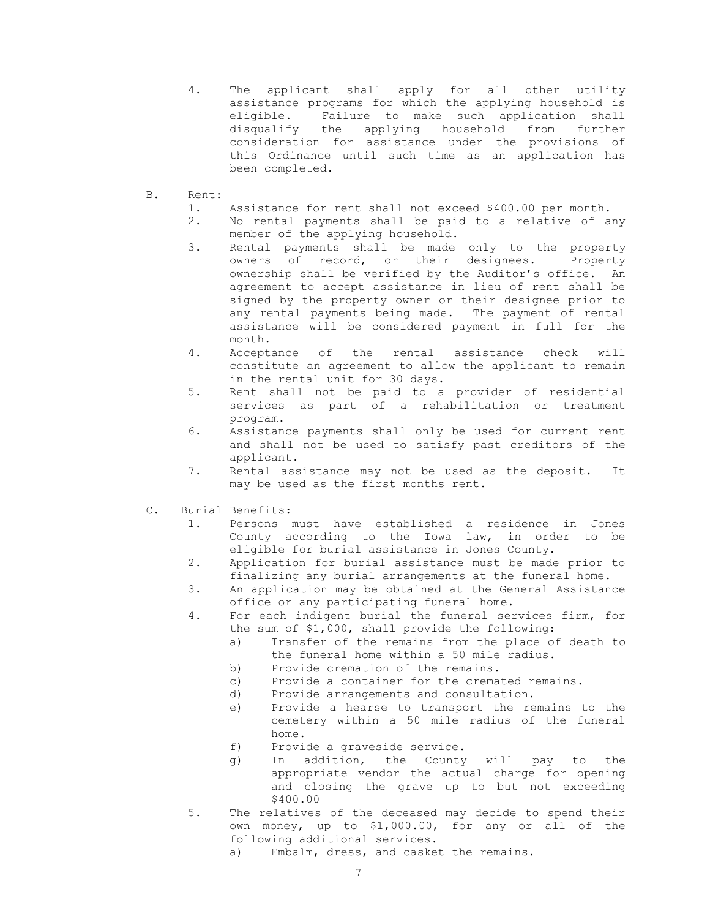- 4. The applicant shall apply for all other utility assistance programs for which the applying household is eligible. Failure to make such application shall disqualify the applying household from further consideration for assistance under the provisions of this Ordinance until such time as an application has been completed.
- B. Rent:
	- 1. Assistance for rent shall not exceed \$400.00 per month.
	- 2. No rental payments shall be paid to a relative of any member of the applying household.
	- 3. Rental payments shall be made only to the property owners of record, or their designees. Property ownership shall be verified by the Auditor's office. An agreement to accept assistance in lieu of rent shall be signed by the property owner or their designee prior to any rental payments being made. The payment of rental assistance will be considered payment in full for the month.
	- 4. Acceptance of the rental assistance check will constitute an agreement to allow the applicant to remain in the rental unit for 30 days.
	- 5. Rent shall not be paid to a provider of residential services as part of a rehabilitation or treatment program.
	- 6. Assistance payments shall only be used for current rent and shall not be used to satisfy past creditors of the applicant.
	- 7. Rental assistance may not be used as the deposit. It may be used as the first months rent.
- C. Burial Benefits:
	- 1. Persons must have established a residence in Jones County according to the Iowa law, in order to be eligible for burial assistance in Jones County.
	- 2. Application for burial assistance must be made prior to finalizing any burial arrangements at the funeral home.
	- 3. An application may be obtained at the General Assistance office or any participating funeral home.
	- 4. For each indigent burial the funeral services firm, for the sum of \$1,000, shall provide the following:
		- a) Transfer of the remains from the place of death to the funeral home within a 50 mile radius.
		- b) Provide cremation of the remains.
		- c) Provide a container for the cremated remains.
		- d) Provide arrangements and consultation.
		- e) Provide a hearse to transport the remains to the cemetery within a 50 mile radius of the funeral home.
		- f) Provide a graveside service.
		- g) In addition, the County will pay to the appropriate vendor the actual charge for opening and closing the grave up to but not exceeding \$400.00
	- 5. The relatives of the deceased may decide to spend their own money, up to \$1,000.00, for any or all of the following additional services.
		- a) Embalm, dress, and casket the remains.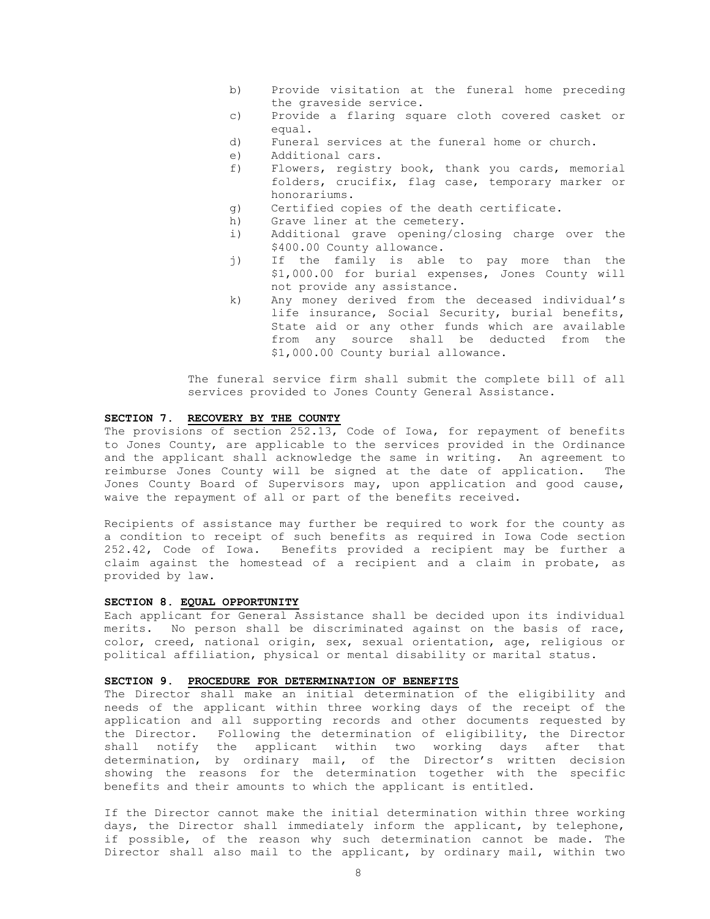- b) Provide visitation at the funeral home preceding the graveside service.
- c) Provide a flaring square cloth covered casket or equal.
- d) Funeral services at the funeral home or church.
- e) Additional cars.
- f) Flowers, registry book, thank you cards, memorial folders, crucifix, flag case, temporary marker or honorariums.
- g) Certified copies of the death certificate.
- h) Grave liner at the cemetery.
- i) Additional grave opening/closing charge over the \$400.00 County allowance.
- j) If the family is able to pay more than the \$1,000.00 for burial expenses, Jones County will not provide any assistance.
- k) Any money derived from the deceased individual's life insurance, Social Security, burial benefits, State aid or any other funds which are available from any source shall be deducted from the \$1,000.00 County burial allowance.

The funeral service firm shall submit the complete bill of all services provided to Jones County General Assistance.

# SECTION 7. RECOVERY BY THE COUNTY

The provisions of section 252.13, Code of Iowa, for repayment of benefits to Jones County, are applicable to the services provided in the Ordinance and the applicant shall acknowledge the same in writing. An agreement to reimburse Jones County will be signed at the date of application. The Jones County Board of Supervisors may, upon application and good cause, waive the repayment of all or part of the benefits received.

Recipients of assistance may further be required to work for the county as a condition to receipt of such benefits as required in Iowa Code section 252.42, Code of Iowa. Benefits provided a recipient may be further a claim against the homestead of a recipient and a claim in probate, as provided by law.

### SECTION 8. EQUAL OPPORTUNITY

Each applicant for General Assistance shall be decided upon its individual merits. No person shall be discriminated against on the basis of race, color, creed, national origin, sex, sexual orientation, age, religious or political affiliation, physical or mental disability or marital status.

### SECTION 9. PROCEDURE FOR DETERMINATION OF BENEFITS

The Director shall make an initial determination of the eligibility and needs of the applicant within three working days of the receipt of the application and all supporting records and other documents requested by the Director. Following the determination of eligibility, the Director shall notify the applicant within two working days after that determination, by ordinary mail, of the Director's written decision showing the reasons for the determination together with the specific benefits and their amounts to which the applicant is entitled.

If the Director cannot make the initial determination within three working days, the Director shall immediately inform the applicant, by telephone, if possible, of the reason why such determination cannot be made. The Director shall also mail to the applicant, by ordinary mail, within two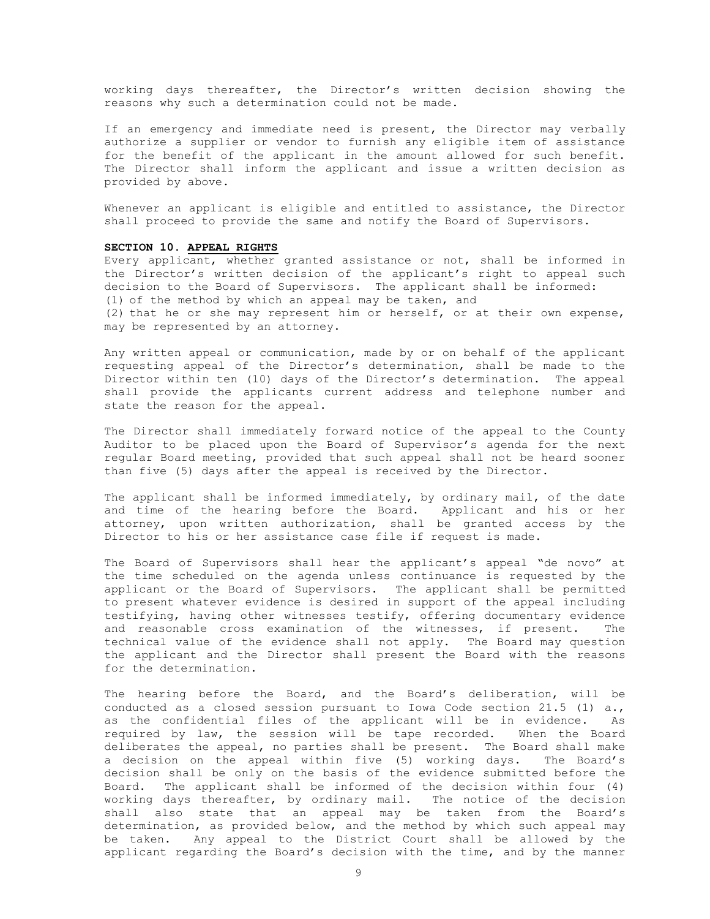working days thereafter, the Director's written decision showing the reasons why such a determination could not be made.

If an emergency and immediate need is present, the Director may verbally authorize a supplier or vendor to furnish any eligible item of assistance for the benefit of the applicant in the amount allowed for such benefit. The Director shall inform the applicant and issue a written decision as provided by above.

Whenever an applicant is eligible and entitled to assistance, the Director shall proceed to provide the same and notify the Board of Supervisors.

## SECTION 10. APPEAL RIGHTS

Every applicant, whether granted assistance or not, shall be informed in the Director's written decision of the applicant's right to appeal such decision to the Board of Supervisors. The applicant shall be informed: (1) of the method by which an appeal may be taken, and (2) that he or she may represent him or herself, or at their own expense, may be represented by an attorney.

Any written appeal or communication, made by or on behalf of the applicant requesting appeal of the Director's determination, shall be made to the Director within ten (10) days of the Director's determination. The appeal shall provide the applicants current address and telephone number and state the reason for the appeal.

The Director shall immediately forward notice of the appeal to the County Auditor to be placed upon the Board of Supervisor's agenda for the next regular Board meeting, provided that such appeal shall not be heard sooner than five (5) days after the appeal is received by the Director.

The applicant shall be informed immediately, by ordinary mail, of the date and time of the hearing before the Board. Applicant and his or her attorney, upon written authorization, shall be granted access by the Director to his or her assistance case file if request is made.

The Board of Supervisors shall hear the applicant's appeal "de novo" at the time scheduled on the agenda unless continuance is requested by the applicant or the Board of Supervisors. The applicant shall be permitted to present whatever evidence is desired in support of the appeal including testifying, having other witnesses testify, offering documentary evidence and reasonable cross examination of the witnesses, if present. The technical value of the evidence shall not apply. The Board may question the applicant and the Director shall present the Board with the reasons for the determination.

The hearing before the Board, and the Board's deliberation, will be conducted as a closed session pursuant to Iowa Code section 21.5 (1) a., as the confidential files of the applicant will be in evidence. As required by law, the session will be tape recorded. When the Board deliberates the appeal, no parties shall be present. The Board shall make a decision on the appeal within five (5) working days. The Board's decision shall be only on the basis of the evidence submitted before the Board. The applicant shall be informed of the decision within four (4) working days thereafter, by ordinary mail. The notice of the decision shall also state that an appeal may be taken from the Board's determination, as provided below, and the method by which such appeal may be taken. Any appeal to the District Court shall be allowed by the applicant regarding the Board's decision with the time, and by the manner